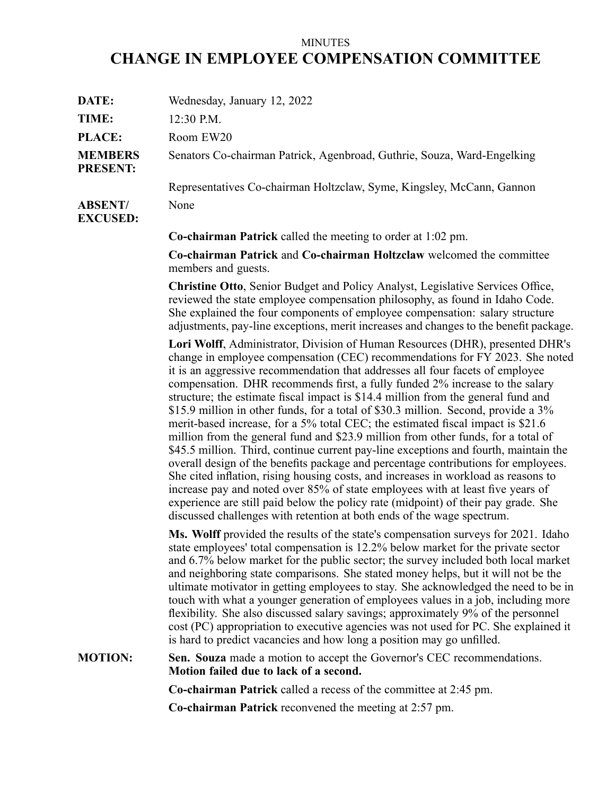## MINUTES **CHANGE IN EMPLOYEE COMPENSATION COMMITTEE**

| DATE:                             | Wednesday, January 12, 2022                                                                                                                                                                                                                                                                                                                                                                                                                                                                                                                                                                                                                                                                                                                                                                                                                                                                                                                                                                                                                                                                                                                                                                             |
|-----------------------------------|---------------------------------------------------------------------------------------------------------------------------------------------------------------------------------------------------------------------------------------------------------------------------------------------------------------------------------------------------------------------------------------------------------------------------------------------------------------------------------------------------------------------------------------------------------------------------------------------------------------------------------------------------------------------------------------------------------------------------------------------------------------------------------------------------------------------------------------------------------------------------------------------------------------------------------------------------------------------------------------------------------------------------------------------------------------------------------------------------------------------------------------------------------------------------------------------------------|
| TIME:                             | 12:30 P.M.                                                                                                                                                                                                                                                                                                                                                                                                                                                                                                                                                                                                                                                                                                                                                                                                                                                                                                                                                                                                                                                                                                                                                                                              |
| PLACE:                            | Room EW20                                                                                                                                                                                                                                                                                                                                                                                                                                                                                                                                                                                                                                                                                                                                                                                                                                                                                                                                                                                                                                                                                                                                                                                               |
| <b>MEMBERS</b><br><b>PRESENT:</b> | Senators Co-chairman Patrick, Agenbroad, Guthrie, Souza, Ward-Engelking                                                                                                                                                                                                                                                                                                                                                                                                                                                                                                                                                                                                                                                                                                                                                                                                                                                                                                                                                                                                                                                                                                                                 |
|                                   | Representatives Co-chairman Holtzclaw, Syme, Kingsley, McCann, Gannon                                                                                                                                                                                                                                                                                                                                                                                                                                                                                                                                                                                                                                                                                                                                                                                                                                                                                                                                                                                                                                                                                                                                   |
| <b>ABSENT/</b><br><b>EXCUSED:</b> | None                                                                                                                                                                                                                                                                                                                                                                                                                                                                                                                                                                                                                                                                                                                                                                                                                                                                                                                                                                                                                                                                                                                                                                                                    |
|                                   | <b>Co-chairman Patrick</b> called the meeting to order at 1:02 pm.                                                                                                                                                                                                                                                                                                                                                                                                                                                                                                                                                                                                                                                                                                                                                                                                                                                                                                                                                                                                                                                                                                                                      |
|                                   | Co-chairman Patrick and Co-chairman Holtzclaw welcomed the committee<br>members and guests.                                                                                                                                                                                                                                                                                                                                                                                                                                                                                                                                                                                                                                                                                                                                                                                                                                                                                                                                                                                                                                                                                                             |
|                                   | <b>Christine Otto, Senior Budget and Policy Analyst, Legislative Services Office,</b><br>reviewed the state employee compensation philosophy, as found in Idaho Code.<br>She explained the four components of employee compensation: salary structure<br>adjustments, pay-line exceptions, merit increases and changes to the benefit package.                                                                                                                                                                                                                                                                                                                                                                                                                                                                                                                                                                                                                                                                                                                                                                                                                                                          |
|                                   | Lori Wolff, Administrator, Division of Human Resources (DHR), presented DHR's<br>change in employee compensation (CEC) recommendations for FY 2023. She noted<br>it is an aggressive recommendation that addresses all four facets of employee<br>compensation. DHR recommends first, a fully funded 2% increase to the salary<br>structure; the estimate fiscal impact is \$14.4 million from the general fund and<br>\$15.9 million in other funds, for a total of \$30.3 million. Second, provide a 3%<br>merit-based increase, for a 5% total CEC; the estimated fiscal impact is \$21.6<br>million from the general fund and \$23.9 million from other funds, for a total of<br>\$45.5 million. Third, continue current pay-line exceptions and fourth, maintain the<br>overall design of the benefits package and percentage contributions for employees.<br>She cited inflation, rising housing costs, and increases in workload as reasons to<br>increase pay and noted over 85% of state employees with at least five years of<br>experience are still paid below the policy rate (midpoint) of their pay grade. She<br>discussed challenges with retention at both ends of the wage spectrum. |
|                                   | Ms. Wolff provided the results of the state's compensation surveys for 2021. Idaho<br>state employees' total compensation is 12.2% below market for the private sector<br>and 6.7% below market for the public sector; the survey included both local market<br>and neighboring state comparisons. She stated money helps, but it will not be the<br>ultimate motivator in getting employees to stay. She acknowledged the need to be in<br>touch with what a younger generation of employees values in a job, including more<br>flexibility. She also discussed salary savings; approximately 9% of the personnel<br>cost (PC) appropriation to executive agencies was not used for PC. She explained it<br>is hard to predict vacancies and how long a position may go unfilled.                                                                                                                                                                                                                                                                                                                                                                                                                      |
| <b>MOTION:</b>                    | Sen. Souza made a motion to accept the Governor's CEC recommendations.<br>Motion failed due to lack of a second.                                                                                                                                                                                                                                                                                                                                                                                                                                                                                                                                                                                                                                                                                                                                                                                                                                                                                                                                                                                                                                                                                        |
|                                   | <b>Co-chairman Patrick</b> called a recess of the committee at 2:45 pm.                                                                                                                                                                                                                                                                                                                                                                                                                                                                                                                                                                                                                                                                                                                                                                                                                                                                                                                                                                                                                                                                                                                                 |
|                                   | <b>Co-chairman Patrick</b> reconvened the meeting at 2:57 pm.                                                                                                                                                                                                                                                                                                                                                                                                                                                                                                                                                                                                                                                                                                                                                                                                                                                                                                                                                                                                                                                                                                                                           |